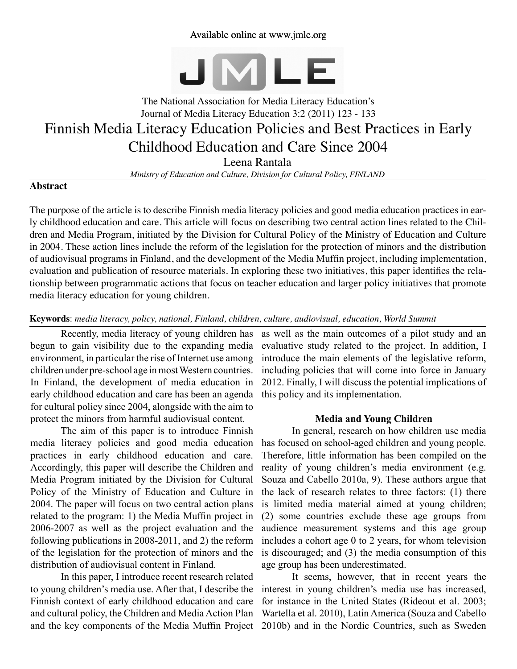### Available online at www.jmle.org



# The National Association for Media Literacy Education's Journal of Media Literacy Education 3:2 (2011) 123 - 133 Finnish Media Literacy Education Policies and Best Practices in Early Childhood Education and Care Since 2004 Leena Rantala

*Ministry of Education and Culture, Division for Cultural Policy, FINLAND*

#### **Abstract**

The purpose of the article is to describe Finnish media literacy policies and good media education practices in early childhood education and care. This article will focus on describing two central action lines related to the Children and Media Program, initiated by the Division for Cultural Policy of the Ministry of Education and Culture in 2004. These action lines include the reform of the legislation for the protection of minors and the distribution of audiovisual programs in Finland, and the development of the Media Muffin project, including implementation, evaluation and publication of resource materials. In exploring these two initiatives, this paper identifies the relationship between programmatic actions that focus on teacher education and larger policy initiatives that promote media literacy education for young children.

#### **Keywords**: *media literacy, policy, national, Finland, children, culture, audiovisual, education, World Summit*

Recently, media literacy of young children has begun to gain visibility due to the expanding media environment, in particular the rise of Internet use among children under pre-school age in most Western countries. In Finland, the development of media education in early childhood education and care has been an agenda for cultural policy since 2004, alongside with the aim to protect the minors from harmful audiovisual content.

The aim of this paper is to introduce Finnish media literacy policies and good media education practices in early childhood education and care. Accordingly, this paper will describe the Children and Media Program initiated by the Division for Cultural Policy of the Ministry of Education and Culture in 2004. The paper will focus on two central action plans related to the program: 1) the Media Muffin project in 2006-2007 as well as the project evaluation and the following publications in 2008-2011, and 2) the reform of the legislation for the protection of minors and the distribution of audiovisual content in Finland.

In this paper, I introduce recent research related to young children's media use. After that, I describe the Finnish context of early childhood education and care and cultural policy, the Children and Media Action Plan and the key components of the Media Muffin Project 2010b) and in the Nordic Countries, such as Sweden

as well as the main outcomes of a pilot study and an evaluative study related to the project. In addition, I introduce the main elements of the legislative reform, including policies that will come into force in January 2012. Finally, I will discuss the potential implications of this policy and its implementation.

#### **Media and Young Children**

In general, research on how children use media has focused on school-aged children and young people. Therefore, little information has been compiled on the reality of young children's media environment (e.g. Souza and Cabello 2010a, 9). These authors argue that the lack of research relates to three factors: (1) there is limited media material aimed at young children; (2) some countries exclude these age groups from audience measurement systems and this age group includes a cohort age 0 to 2 years, for whom television is discouraged; and (3) the media consumption of this age group has been underestimated.

It seems, however, that in recent years the interest in young children's media use has increased, for instance in the United States (Rideout et al. 2003; Wartella et al. 2010), Latin America (Souza and Cabello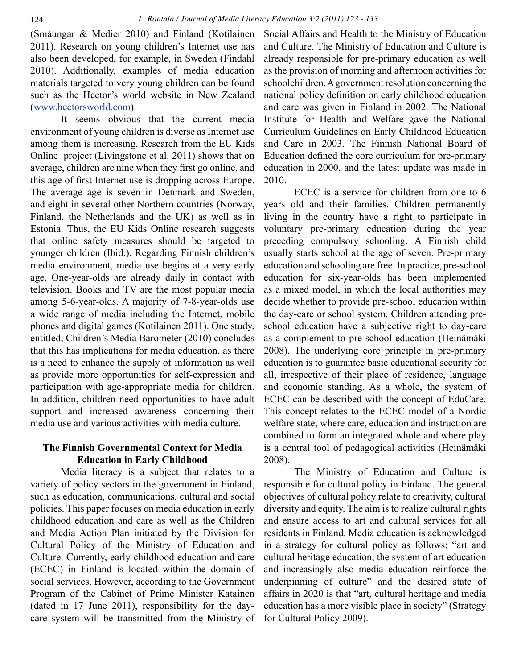(Småungar & Medier 2010) and Finland (Kotilainen 2011). Research on young children's Internet use has also been developed, for example, in Sweden (Findahl 2010). Additionally, examples of media education materials targeted to very young children can be found such as the Hector's world website in New Zealand ([www.hectorsworld.com\)](http://www.hectorsworld.com).

It seems obvious that the current media environment of young children is diverse as Internet use among them is increasing. Research from the EU Kids Online project (Livingstone et al. 2011) shows that on average, children are nine when they first go online, and this age of first Internet use is dropping across Europe. The average age is seven in Denmark and Sweden, and eight in several other Northern countries (Norway, Finland, the Netherlands and the UK) as well as in Estonia. Thus, the EU Kids Online research suggests that online safety measures should be targeted to younger children (Ibid.). Regarding Finnish children's media environment, media use begins at a very early age. One-year-olds are already daily in contact with television. Books and TV are the most popular media among 5-6-year-olds. A majority of 7-8-year-olds use a wide range of media including the Internet, mobile phones and digital games (Kotilainen 2011). One study, entitled, Children's Media Barometer (2010) concludes that this has implications for media education, as there is a need to enhance the supply of information as well as provide more opportunities for self-expression and participation with age-appropriate media for children. In addition, children need opportunities to have adult support and increased awareness concerning their media use and various activities with media culture.

## **The Finnish Governmental Context for Media Education in Early Childhood**

Media literacy is a subject that relates to a variety of policy sectors in the government in Finland, such as education, communications, cultural and social policies. This paper focuses on media education in early childhood education and care as well as the Children and Media Action Plan initiated by the Division for Cultural Policy of the Ministry of Education and Culture. Currently, early childhood education and care (ECEC) in Finland is located within the domain of social services. However, according to the Government Program of the Cabinet of Prime Minister Katainen (dated in 17 June 2011), responsibility for the daycare system will be transmitted from the Ministry of

Social Affairs and Health to the Ministry of Education and Culture. The Ministry of Education and Culture is already responsible for pre-primary education as well as the provision of morning and afternoon activities for schoolchildren. A government resolution concerning the national policy definition on early childhood education and care was given in Finland in 2002. The National Institute for Health and Welfare gave the National Curriculum Guidelines on Early Childhood Education and Care in 2003. The Finnish National Board of Education defined the core curriculum for pre-primary education in 2000, and the latest update was made in 2010.

ECEC is a service for children from one to 6 years old and their families. Children permanently living in the country have a right to participate in voluntary pre-primary education during the year preceding compulsory schooling. A Finnish child usually starts school at the age of seven. Pre-primary education and schooling are free. In practice, pre-school education for six-year-olds has been implemented as a mixed model, in which the local authorities may decide whether to provide pre-school education within the day-care or school system. Children attending preschool education have a subjective right to day-care as a complement to pre-school education (Heinämäki 2008). The underlying core principle in pre-primary education is to guarantee basic educational security for all, irrespective of their place of residence, language and economic standing. As a whole, the system of ECEC can be described with the concept of EduCare. This concept relates to the ECEC model of a Nordic welfare state, where care, education and instruction are combined to form an integrated whole and where play is a central tool of pedagogical activities (Heinämäki 2008).

The Ministry of Education and Culture is responsible for cultural policy in Finland. The general objectives of cultural policy relate to creativity, cultural diversity and equity. The aim is to realize cultural rights and ensure access to art and cultural services for all residents in Finland. Media education is acknowledged in a strategy for cultural policy as follows: "art and cultural heritage education, the system of art education and increasingly also media education reinforce the underpinning of culture" and the desired state of affairs in 2020 is that "art, cultural heritage and media education has a more visible place in society" (Strategy for Cultural Policy 2009).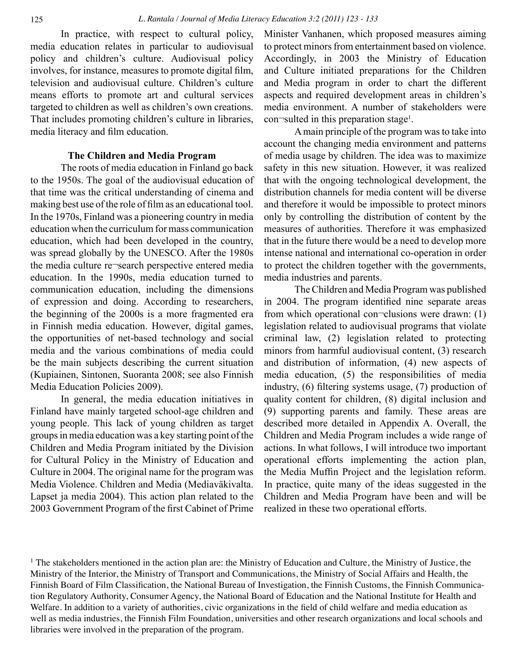In practice, with respect to cultural policy, media education relates in particular to audiovisual policy and children's culture. Audiovisual policy involves, for instance, measures to promote digital film, television and audiovisual culture. Children's culture means efforts to promote art and cultural services targeted to children as well as children's own creations. That includes promoting children's culture in libraries, media literacy and film education.

#### **The Children and Media Program**

The roots of media education in Finland go back to the 1950s. The goal of the audiovisual education of that time was the critical understanding of cinema and making best use of the role of film as an educational tool. In the 1970s, Finland was a pioneering country in media education when the curriculum for mass communication education, which had been developed in the country, was spread globally by the UNESCO. After the 1980s the media culture re¬search perspective entered media education. In the 1990s, media education turned to communication education, including the dimensions of expression and doing. According to researchers, the beginning of the 2000s is a more fragmented era in Finnish media education. However, digital games, the opportunities of net-based technology and social media and the various combinations of media could be the main subjects describing the current situation (Kupiainen, Sintonen, Suoranta 2008; see also Finnish Media Education Policies 2009).

In general, the media education initiatives in Finland have mainly targeted school-age children and young people. This lack of young children as target groups in media education was a key starting point of the Children and Media Program initiated by the Division for Cultural Policy in the Ministry of Education and Culture in 2004. The original name for the program was Media Violence. Children and Media (Mediaväkivalta. Lapset ja media 2004). This action plan related to the 2003 Government Program of the first Cabinet of Prime Minister Vanhanen, which proposed measures aiming to protect minors from entertainment based on violence. Accordingly, in 2003 the Ministry of Education and Culture initiated preparations for the Children and Media program in order to chart the different aspects and required development areas in children's media environment. A number of stakeholders were con¬sulted in this preparation stage<sup>1</sup>.

A main principle of the program was to take into account the changing media environment and patterns of media usage by children. The idea was to maximize safety in this new situation. However, it was realized that with the ongoing technological development, the distribution channels for media content will be diverse and therefore it would be impossible to protect minors only by controlling the distribution of content by the measures of authorities. Therefore it was emphasized that in the future there would be a need to develop more intense national and international co-operation in order to protect the children together with the governments, media industries and parents.

The Children and Media Program was published in 2004. The program identified nine separate areas from which operational con $\neg$ clusions were drawn: (1) legislation related to audiovisual programs that violate criminal law, (2) legislation related to protecting minors from harmful audiovisual content, (3) research and distribution of information, (4) new aspects of media education, (5) the responsibilities of media industry, (6) filtering systems usage, (7) production of quality content for children, (8) digital inclusion and (9) supporting parents and family. These areas are described more detailed in Appendix A. Overall, the Children and Media Program includes a wide range of actions. In what follows, I will introduce two important operational efforts implementing the action plan, the Media Muffin Project and the legislation reform. In practice, quite many of the ideas suggested in the Children and Media Program have been and will be realized in these two operational efforts.

<sup>1</sup> The stakeholders mentioned in the action plan are: the Ministry of Education and Culture, the Ministry of Justice, the Ministry of the Interior, the Ministry of Transport and Communications, the Ministry of Social Affairs and Health, the Finnish Board of Film Classification, the National Bureau of Investigation, the Finnish Customs, the Finnish Communication Regulatory Authority, Consumer Agency, the National Board of Education and the National Institute for Health and Welfare. In addition to a variety of authorities, civic organizations in the field of child welfare and media education as well as media industries, the Finnish Film Foundation, universities and other research organizations and local schools and libraries were involved in the preparation of the program.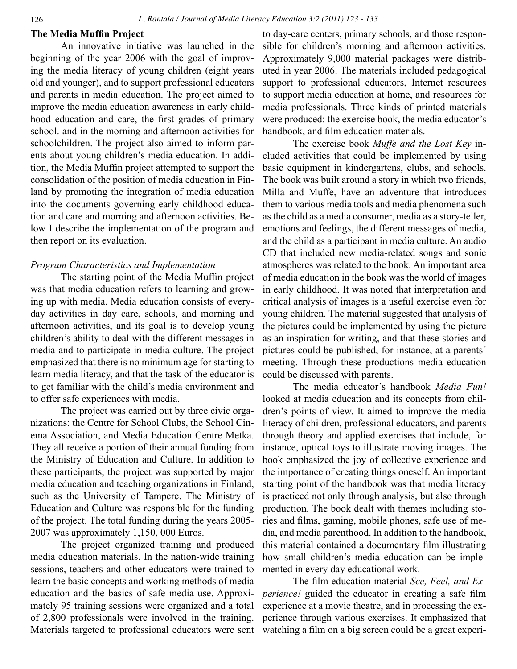### **The Media Muffin Project**

An innovative initiative was launched in the beginning of the year 2006 with the goal of improving the media literacy of young children (eight years old and younger), and to support professional educators and parents in media education. The project aimed to improve the media education awareness in early childhood education and care, the first grades of primary school. and in the morning and afternoon activities for schoolchildren. The project also aimed to inform parents about young children's media education. In addition, the Media Muffin project attempted to support the consolidation of the position of media education in Finland by promoting the integration of media education into the documents governing early childhood education and care and morning and afternoon activities. Below I describe the implementation of the program and then report on its evaluation.

#### *Program Characteristics and Implementation*

The starting point of the Media Muffin project was that media education refers to learning and growing up with media. Media education consists of everyday activities in day care, schools, and morning and afternoon activities, and its goal is to develop young children's ability to deal with the different messages in media and to participate in media culture. The project emphasized that there is no minimum age for starting to learn media literacy, and that the task of the educator is to get familiar with the child's media environment and to offer safe experiences with media.

The project was carried out by three civic organizations: the Centre for School Clubs, the School Cinema Association, and Media Education Centre Metka. They all receive a portion of their annual funding from the Ministry of Education and Culture. In addition to these participants, the project was supported by major media education and teaching organizations in Finland, such as the University of Tampere. The Ministry of Education and Culture was responsible for the funding of the project. The total funding during the years 2005- 2007 was approximately 1,150, 000 Euros.

The project organized training and produced media education materials. In the nation-wide training sessions, teachers and other educators were trained to learn the basic concepts and working methods of media education and the basics of safe media use. Approximately 95 training sessions were organized and a total of 2,800 professionals were involved in the training. Materials targeted to professional educators were sent

to day-care centers, primary schools, and those responsible for children's morning and afternoon activities. Approximately 9,000 material packages were distributed in year 2006. The materials included pedagogical support to professional educators, Internet resources to support media education at home, and resources for media professionals. Three kinds of printed materials were produced: the exercise book, the media educator's handbook, and film education materials.

The exercise book *Muffe and the Lost Key* included activities that could be implemented by using basic equipment in kindergartens, clubs, and schools. The book was built around a story in which two friends, Milla and Muffe, have an adventure that introduces them to various media tools and media phenomena such as the child as a media consumer, media as a story-teller, emotions and feelings, the different messages of media, and the child as a participant in media culture. An audio CD that included new media-related songs and sonic atmospheres was related to the book. An important area of media education in the book was the world of images in early childhood. It was noted that interpretation and critical analysis of images is a useful exercise even for young children. The material suggested that analysis of the pictures could be implemented by using the picture as an inspiration for writing, and that these stories and pictures could be published, for instance, at a parents´ meeting. Through these productions media education could be discussed with parents.

The media educator's handbook *Media Fun!*  looked at media education and its concepts from children's points of view. It aimed to improve the media literacy of children, professional educators, and parents through theory and applied exercises that include, for instance, optical toys to illustrate moving images. The book emphasized the joy of collective experience and the importance of creating things oneself. An important starting point of the handbook was that media literacy is practiced not only through analysis, but also through production. The book dealt with themes including stories and films, gaming, mobile phones, safe use of media, and media parenthood. In addition to the handbook, this material contained a documentary film illustrating how small children's media education can be implemented in every day educational work.

The film education material *See, Feel, and Experience!* guided the educator in creating a safe film experience at a movie theatre, and in processing the experience through various exercises. It emphasized that watching a film on a big screen could be a great experi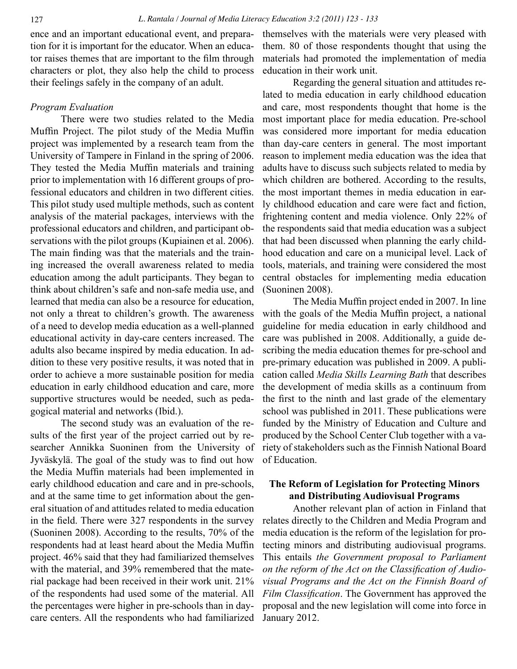ence and an important educational event, and preparation for it is important for the educator. When an educator raises themes that are important to the film through characters or plot, they also help the child to process their feelings safely in the company of an adult.

#### *Program Evaluation*

There were two studies related to the Media Muffin Project. The pilot study of the Media Muffin project was implemented by a research team from the University of Tampere in Finland in the spring of 2006. They tested the Media Muffin materials and training prior to implementation with 16 different groups of professional educators and children in two different cities. This pilot study used multiple methods, such as content analysis of the material packages, interviews with the professional educators and children, and participant observations with the pilot groups (Kupiainen et al. 2006). The main finding was that the materials and the training increased the overall awareness related to media education among the adult participants. They began to think about children's safe and non-safe media use, and learned that media can also be a resource for education, not only a threat to children's growth. The awareness of a need to develop media education as a well-planned educational activity in day-care centers increased. The adults also became inspired by media education. In addition to these very positive results, it was noted that in order to achieve a more sustainable position for media education in early childhood education and care, more supportive structures would be needed, such as pedagogical material and networks (Ibid.).

The second study was an evaluation of the results of the first year of the project carried out by researcher Annikka Suoninen from the University of Jyväskylä. The goal of the study was to find out how the Media Muffin materials had been implemented in early childhood education and care and in pre-schools, and at the same time to get information about the general situation of and attitudes related to media education in the field. There were 327 respondents in the survey (Suoninen 2008). According to the results, 70% of the respondents had at least heard about the Media Muffin project. 46% said that they had familiarized themselves with the material, and 39% remembered that the material package had been received in their work unit. 21% of the respondents had used some of the material. All the percentages were higher in pre-schools than in daycare centers. All the respondents who had familiarized

themselves with the materials were very pleased with them. 80 of those respondents thought that using the materials had promoted the implementation of media education in their work unit.

Regarding the general situation and attitudes related to media education in early childhood education and care, most respondents thought that home is the most important place for media education. Pre-school was considered more important for media education than day-care centers in general. The most important reason to implement media education was the idea that adults have to discuss such subjects related to media by which children are bothered. According to the results, the most important themes in media education in early childhood education and care were fact and fiction, frightening content and media violence. Only 22% of the respondents said that media education was a subject that had been discussed when planning the early childhood education and care on a municipal level. Lack of tools, materials, and training were considered the most central obstacles for implementing media education (Suoninen 2008).

The Media Muffin project ended in 2007. In line with the goals of the Media Muffin project, a national guideline for media education in early childhood and care was published in 2008. Additionally, a guide describing the media education themes for pre-school and pre-primary education was published in 2009. A publication called *Media Skills Learning Bath* that describes the development of media skills as a continuum from the first to the ninth and last grade of the elementary school was published in 2011. These publications were funded by the Ministry of Education and Culture and produced by the School Center Club together with a variety of stakeholders such as the Finnish National Board of Education.

### **The Reform of Legislation for Protecting Minors and Distributing Audiovisual Programs**

Another relevant plan of action in Finland that relates directly to the Children and Media Program and media education is the reform of the legislation for protecting minors and distributing audiovisual programs. This entails *the Government proposal to Parliament on the reform of the Act on the Classification of Audiovisual Programs and the Act on the Finnish Board of Film Classification*. The Government has approved the proposal and the new legislation will come into force in January 2012.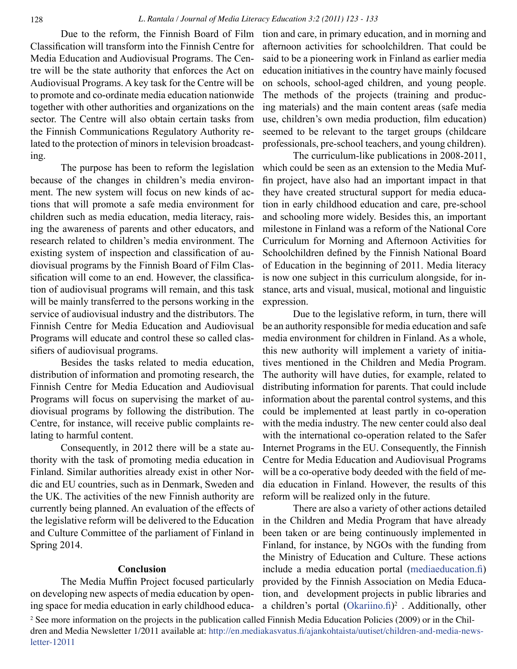Due to the reform, the Finnish Board of Film Classification will transform into the Finnish Centre for Media Education and Audiovisual Programs. The Centre will be the state authority that enforces the Act on Audiovisual Programs. A key task for the Centre will be to promote and co-ordinate media education nationwide together with other authorities and organizations on the sector. The Centre will also obtain certain tasks from the Finnish Communications Regulatory Authority related to the protection of minors in television broadcasting.

The purpose has been to reform the legislation because of the changes in children's media environment. The new system will focus on new kinds of actions that will promote a safe media environment for children such as media education, media literacy, raising the awareness of parents and other educators, and research related to children's media environment. The existing system of inspection and classification of audiovisual programs by the Finnish Board of Film Classification will come to an end. However, the classification of audiovisual programs will remain, and this task will be mainly transferred to the persons working in the service of audiovisual industry and the distributors. The Finnish Centre for Media Education and Audiovisual Programs will educate and control these so called classifiers of audiovisual programs.

Besides the tasks related to media education, distribution of information and promoting research, the Finnish Centre for Media Education and Audiovisual Programs will focus on supervising the market of audiovisual programs by following the distribution. The Centre, for instance, will receive public complaints relating to harmful content.

Consequently, in 2012 there will be a state authority with the task of promoting media education in Finland. Similar authorities already exist in other Nordic and EU countries, such as in Denmark, Sweden and the UK. The activities of the new Finnish authority are currently being planned. An evaluation of the effects of the legislative reform will be delivered to the Education and Culture Committee of the parliament of Finland in Spring 2014.

#### **Conclusion**

The Media Muffin Project focused particularly on developing new aspects of media education by opening space for media education in early childhood education and care, in primary education, and in morning and afternoon activities for schoolchildren. That could be said to be a pioneering work in Finland as earlier media education initiatives in the country have mainly focused on schools, school-aged children, and young people. The methods of the projects (training and producing materials) and the main content areas (safe media use, children's own media production, film education) seemed to be relevant to the target groups (childcare professionals, pre-school teachers, and young children).

The curriculum-like publications in 2008-2011, which could be seen as an extension to the Media Muffin project, have also had an important impact in that they have created structural support for media education in early childhood education and care, pre-school and schooling more widely. Besides this, an important milestone in Finland was a reform of the National Core Curriculum for Morning and Afternoon Activities for Schoolchildren defined by the Finnish National Board of Education in the beginning of 2011. Media literacy is now one subject in this curriculum alongside, for instance, arts and visual, musical, motional and linguistic expression.

Due to the legislative reform, in turn, there will be an authority responsible for media education and safe media environment for children in Finland. As a whole, this new authority will implement a variety of initiatives mentioned in the Children and Media Program. The authority will have duties, for example, related to distributing information for parents. That could include information about the parental control systems, and this could be implemented at least partly in co-operation with the media industry. The new center could also deal with the international co-operation related to the Safer Internet Programs in the EU. Consequently, the Finnish Centre for Media Education and Audiovisual Programs will be a co-operative body deeded with the field of media education in Finland. However, the results of this reform will be realized only in the future.

There are also a variety of other actions detailed in the Children and Media Program that have already been taken or are being continuously implemented in Finland, for instance, by NGOs with the funding from the Ministry of Education and Culture. These actions include a media education portal ([mediaeducation.fi](http://mediaeducation.fi)) provided by the Finnish Association on Media Education, and development projects in public libraries and a children's portal  $(Okarino.fi)^2$ . Additionally, other

<sup>2</sup> See more information on the projects in the publication called Finnish Media Education Policies (2009) or in the Children and Media Newsletter 1/2011 available at: [http://en.mediakasvatus.fi/ajankohtaista/uutiset/children-and-media-news](http://en.mediakasvatus.fi/ajankohtaista/uutiset/children-and-media-newsletter-12011)[letter-12011](http://en.mediakasvatus.fi/ajankohtaista/uutiset/children-and-media-newsletter-12011)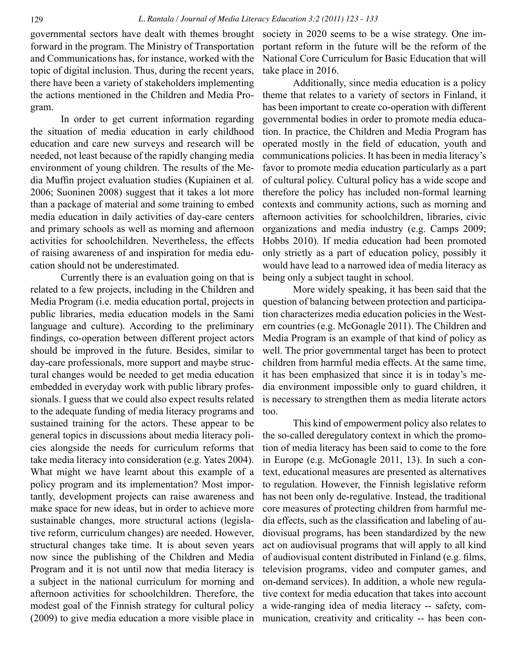governmental sectors have dealt with themes brought forward in the program. The Ministry of Transportation and Communications has, for instance, worked with the topic of digital inclusion. Thus, during the recent years, there have been a variety of stakeholders implementing the actions mentioned in the Children and Media Program.

In order to get current information regarding the situation of media education in early childhood education and care new surveys and research will be needed, not least because of the rapidly changing media environment of young children. The results of the Media Muffin project evaluation studies (Kupiainen et al. 2006; Suoninen 2008) suggest that it takes a lot more than a package of material and some training to embed media education in daily activities of day-care centers and primary schools as well as morning and afternoon activities for schoolchildren. Nevertheless, the effects of raising awareness of and inspiration for media education should not be underestimated.

Currently there is an evaluation going on that is related to a few projects, including in the Children and Media Program (i.e. media education portal, projects in public libraries, media education models in the Sami language and culture). According to the preliminary findings, co-operation between different project actors should be improved in the future. Besides, similar to day-care professionals, more support and maybe structural changes would be needed to get media education embedded in everyday work with public library professionals. I guess that we could also expect results related to the adequate funding of media literacy programs and sustained training for the actors. These appear to be general topics in discussions about media literacy policies alongside the needs for curriculum reforms that take media literacy into consideration (e.g. Yates 2004). What might we have learnt about this example of a policy program and its implementation? Most importantly, development projects can raise awareness and make space for new ideas, but in order to achieve more sustainable changes, more structural actions (legislative reform, curriculum changes) are needed. However, structural changes take time. It is about seven years now since the publishing of the Children and Media Program and it is not until now that media literacy is a subject in the national curriculum for morning and afternoon activities for schoolchildren. Therefore, the modest goal of the Finnish strategy for cultural policy (2009) to give media education a more visible place in

society in 2020 seems to be a wise strategy. One important reform in the future will be the reform of the National Core Curriculum for Basic Education that will take place in 2016.

Additionally, since media education is a policy theme that relates to a variety of sectors in Finland, it has been important to create co-operation with different governmental bodies in order to promote media education. In practice, the Children and Media Program has operated mostly in the field of education, youth and communications policies. It has been in media literacy's favor to promote media education particularly as a part of cultural policy. Cultural policy has a wide scope and therefore the policy has included non-formal learning contexts and community actions, such as morning and afternoon activities for schoolchildren, libraries, civic organizations and media industry (e.g. Camps 2009; Hobbs 2010). If media education had been promoted only strictly as a part of education policy, possibly it would have lead to a narrowed idea of media literacy as being only a subject taught in school.

More widely speaking, it has been said that the question of balancing between protection and participation characterizes media education policies in the Western countries (e.g. McGonagle 2011). The Children and Media Program is an example of that kind of policy as well. The prior governmental target has been to protect children from harmful media effects. At the same time, it has been emphasized that since it is in today's media environment impossible only to guard children, it is necessary to strengthen them as media literate actors too.

This kind of empowerment policy also relates to the so-called deregulatory context in which the promotion of media literacy has been said to come to the fore in Europe (e.g. McGonagle 2011, 13). In such a context, educational measures are presented as alternatives to regulation. However, the Finnish legislative reform has not been only de-regulative. Instead, the traditional core measures of protecting children from harmful media effects, such as the classification and labeling of audiovisual programs, has been standardized by the new act on audiovisual programs that will apply to all kind of audiovisual content distributed in Finland (e.g. films, television programs, video and computer games, and on-demand services). In addition, a whole new regulative context for media education that takes into account a wide-ranging idea of media literacy -- safety, communication, creativity and criticality -- has been con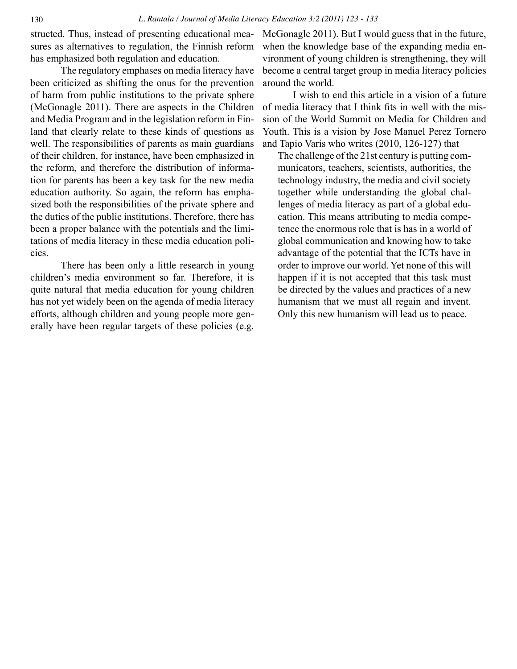structed. Thus, instead of presenting educational measures as alternatives to regulation, the Finnish reform has emphasized both regulation and education.

The regulatory emphases on media literacy have been criticized as shifting the onus for the prevention of harm from public institutions to the private sphere (McGonagle 2011). There are aspects in the Children and Media Program and in the legislation reform in Finland that clearly relate to these kinds of questions as well. The responsibilities of parents as main guardians of their children, for instance, have been emphasized in the reform, and therefore the distribution of information for parents has been a key task for the new media education authority. So again, the reform has emphasized both the responsibilities of the private sphere and the duties of the public institutions. Therefore, there has been a proper balance with the potentials and the limitations of media literacy in these media education policies.

There has been only a little research in young children's media environment so far. Therefore, it is quite natural that media education for young children has not yet widely been on the agenda of media literacy efforts, although children and young people more generally have been regular targets of these policies (e.g. McGonagle 2011). But I would guess that in the future, when the knowledge base of the expanding media environment of young children is strengthening, they will become a central target group in media literacy policies around the world.

I wish to end this article in a vision of a future of media literacy that I think fits in well with the mission of the World Summit on Media for Children and Youth. This is a vision by Jose Manuel Perez Tornero and Tapio Varis who writes (2010, 126-127) that

The challenge of the 21st century is putting communicators, teachers, scientists, authorities, the technology industry, the media and civil society together while understanding the global challenges of media literacy as part of a global education. This means attributing to media competence the enormous role that is has in a world of global communication and knowing how to take advantage of the potential that the ICTs have in order to improve our world. Yet none of this will happen if it is not accepted that this task must be directed by the values and practices of a new humanism that we must all regain and invent. Only this new humanism will lead us to peace.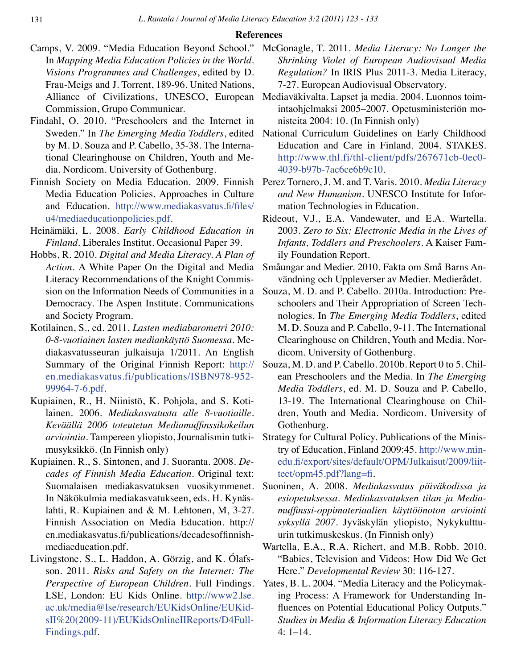#### **References**

- Camps, V. 2009. "Media Education Beyond School." In *Mapping Media Education Policies in the World. Visions Programmes and Challenges*, edited by D. Frau-Meigs and J. Torrent, 189-96. United Nations, Alliance of Civilizations, UNESCO, European Commission, Grupo Communicar.
- Findahl, O. 2010. "Preschoolers and the Internet in Sweden." In *The Emerging Media Toddlers*, edited by M. D. Souza and P. Cabello, 35-38. The International Clearinghouse on Children, Youth and Media. Nordicom. University of Gothenburg.
- Finnish Society on Media Education. 2009. Finnish Media Education Policies. Approaches in Culture and Education. [http://www.mediakasvatus.fi/files/](http://www.mediakasvatus.fi/files/u4/mediaeducationpolicies.pdf) [u4/mediaeducationpolicies.pdf.](http://www.mediakasvatus.fi/files/u4/mediaeducationpolicies.pdf)
- Heinämäki, L. 2008. *Early Childhood Education in Finland*. Liberales Institut. Occasional Paper 39.
- Hobbs, R. 2010. *Digital and Media Literacy. A Plan of Action.* A White Paper On the Digital and Media Literacy Recommendations of the Knight Commission on the Information Needs of Communities in a Democracy. The Aspen Institute. Communications and Society Program.
- Kotilainen, S., ed. 2011. *Lasten mediabarometri 2010: 0-8-vuotiainen lasten mediankäyttö Suomessa*. Mediakasvatusseuran julkaisuja 1/2011. An English Summary of the Original Finnish Report: [http://](http://en.mediakasvatus.fi/publications/ISBN978-952-99964-7-6.pdf) [en.mediakasvatus.fi/publications/ISBN978-952-](http://en.mediakasvatus.fi/publications/ISBN978-952-99964-7-6.pdf) [99964-7-6.pdf.](http://en.mediakasvatus.fi/publications/ISBN978-952-99964-7-6.pdf)
- Kupiainen, R., H. Niinistö, K. Pohjola, and S. Kotilainen. 2006. *Mediakasvatusta alle 8-vuotiaille. Keväällä 2006 toteutetun Mediamuffinssikokeilun arviointia*. Tampereen yliopisto, Journalismin tutkimusyksikkö. (In Finnish only)
- Kupiainen. R., S. Sintonen, and J. Suoranta. 2008. *Decades of Finnish Media Education*. Original text: Suomalaisen mediakasvatuksen vuosikymmenet. In Näkökulmia mediakasvatukseen, eds. H. Kynäslahti, R. Kupiainen and & M. Lehtonen, M, 3-27. Finnish Association on Media Education. http:// en.mediakasvatus.fi/publications/decadesoffinnishmediaeducation.pdf.
- Livingstone, S., L. Haddon, A. Görzig, and K. Olafsson. 2011. *Risks and Safety on the Internet: The Perspective of European Children*. Full Findings. LSE, London: EU Kids Online. [http://www2.lse.](http://www2.lse.ac.uk/media@lse/research/EUKidsOnline/EUKidsII%20(2009-11)/EUKidsOnlineIIReports/D4FullFindings.pdf) [ac.uk/media@lse/research/EUKidsOnline/EUKid](http://www2.lse.ac.uk/media@lse/research/EUKidsOnline/EUKidsII%20(2009-11)/EUKidsOnlineIIReports/D4FullFindings.pdf)[sII%20\(2009-11\)/EUKidsOnlineIIReports/D4Full-](http://www2.lse.ac.uk/media@lse/research/EUKidsOnline/EUKidsII%20(2009-11)/EUKidsOnlineIIReports/D4FullFindings.pdf)[Findings.pdf](http://www2.lse.ac.uk/media@lse/research/EUKidsOnline/EUKidsII%20(2009-11)/EUKidsOnlineIIReports/D4FullFindings.pdf).
- McGonagle, T. 2011. *Media Literacy: No Longer the Shrinking Violet of European Audiovisual Media Regulation?* In IRIS Plus 2011-3. Media Literacy, 7-27. European Audiovisual Observatory.
- Mediaväkivalta. Lapset ja media. 2004. Luonnos toimintaohjelmaksi 2005–2007. Opetusministeriön monisteita 2004: 10. (In Finnish only)
- National Curriculum Guidelines on Early Childhood Education and Care in Finland. 2004. STAKES. [http://www.thl.fi/thl-client/pdfs/267671cb-0ec0-](http://www.thl.fi/thl-client/pdfs/267671cb-0ec0-4039-b97b-7ac6ce6b9c10) [4039-b97b-7ac6ce6b9c10.](http://www.thl.fi/thl-client/pdfs/267671cb-0ec0-4039-b97b-7ac6ce6b9c10)
- Perez Tornero, J. M. and T. Varis. 2010. *Media Literacy and New Humanism*. UNESCO Institute for Information Technologies in Education.
- Rideout, V.J., E.A. Vandewater, and E.A. Wartella. 2003. *Zero to Six: Electronic Media in the Lives of Infants, Toddlers and Preschoolers*. A Kaiser Family Foundation Report.
- Småungar and Medier. 2010. Fakta om Små Barns Användning och Uppleverser av Medier. Medierådet.
- Souza, M. D. and P. Cabello. 2010a. Introduction: Preschoolers and Their Appropriation of Screen Technologies. In *The Emerging Media Toddlers*, edited M. D. Souza and P. Cabello, 9-11. The International Clearinghouse on Children, Youth and Media. Nordicom. University of Gothenburg.
- Souza, M. D. and P. Cabello. 2010b. Report 0 to 5. Chilean Preschoolers and the Media. In *The Emerging Media Toddlers*, ed. M. D. Souza and P. Cabello, 13-19. The International Clearinghouse on Children, Youth and Media. Nordicom. University of Gothenburg.
- Strategy for Cultural Policy. Publications of the Ministry of Education, Finland 2009:45. [http://www.min](http://www.minedu.fi/export/sites/default/OPM/Julkaisut/2009/liitteet/opm45.pdf?lang=fi)[edu.fi/export/sites/default/OPM/Julkaisut/2009/liit](http://www.minedu.fi/export/sites/default/OPM/Julkaisut/2009/liitteet/opm45.pdf?lang=fi)[teet/opm45.pdf?lang=fi](http://www.minedu.fi/export/sites/default/OPM/Julkaisut/2009/liitteet/opm45.pdf?lang=fi).
- Suoninen, A. 2008. *Mediakasvatus päiväkodissa ja esiopetuksessa. Mediakasvatuksen tilan ja Mediamuffinssi-oppimateriaalien käyttöönoton arviointi syksyllä 2007*. Jyväskylän yliopisto, Nykykulttuurin tutkimuskeskus. (In Finnish only)
- Wartella, E.A., R.A. Richert, and M.B. Robb. 2010. "Babies, Television and Videos: How Did We Get Here." *Developmental Review* 30: 116-127.
- Yates, B. L. 2004. "Media Literacy and the Policymaking Process: A Framework for Understanding Influences on Potential Educational Policy Outputs." *Studies in Media & Information Literacy Education*  4: 1–14.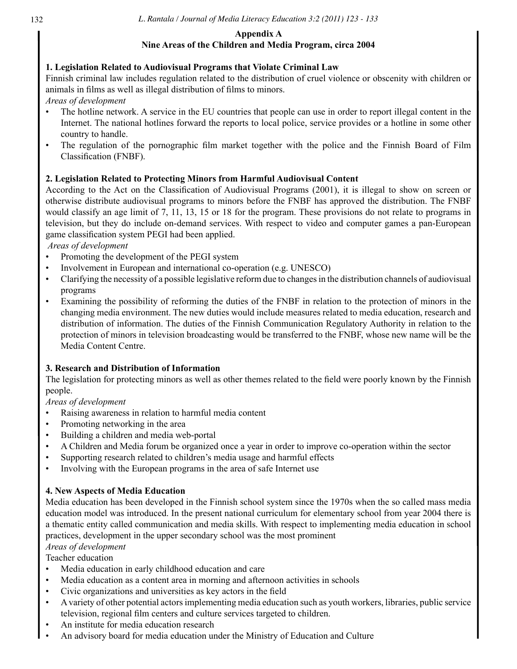### **Appendix A**

# **Nine Areas of the Children and Media Program, circa 2004**

# **1. Legislation Related to Audiovisual Programs that Violate Criminal Law**

Finnish criminal law includes regulation related to the distribution of cruel violence or obscenity with children or animals in films as well as illegal distribution of films to minors.

*Areas of development*

- The hotline network. A service in the EU countries that people can use in order to report illegal content in the Internet. The national hotlines forward the reports to local police, service provides or a hotline in some other country to handle.
- The regulation of the pornographic film market together with the police and the Finnish Board of Film Classification (FNBF).

# **2. Legislation Related to Protecting Minors from Harmful Audiovisual Content**

According to the Act on the Classification of Audiovisual Programs (2001), it is illegal to show on screen or otherwise distribute audiovisual programs to minors before the FNBF has approved the distribution. The FNBF would classify an age limit of 7, 11, 13, 15 or 18 for the program. These provisions do not relate to programs in television, but they do include on-demand services. With respect to video and computer games a pan-European game classification system PEGI had been applied.

 *Areas of development* 

- Promoting the development of the PEGI system
- Involvement in European and international co-operation (e.g. UNESCO)
- Clarifying the necessity of a possible legislative reform due to changes in the distribution channels of audiovisual programs
- Examining the possibility of reforming the duties of the FNBF in relation to the protection of minors in the changing media environment. The new duties would include measures related to media education, research and distribution of information. The duties of the Finnish Communication Regulatory Authority in relation to the protection of minors in television broadcasting would be transferred to the FNBF, whose new name will be the Media Content Centre.

# **3. Research and Distribution of Information**

The legislation for protecting minors as well as other themes related to the field were poorly known by the Finnish people.

# *Areas of development*

- Raising awareness in relation to harmful media content
- Promoting networking in the area
- Building a children and media web-portal
- A Children and Media forum be organized once a year in order to improve co-operation within the sector
- Supporting research related to children's media usage and harmful effects
- Involving with the European programs in the area of safe Internet use

# **4. New Aspects of Media Education**

Media education has been developed in the Finnish school system since the 1970s when the so called mass media education model was introduced. In the present national curriculum for elementary school from year 2004 there is a thematic entity called communication and media skills. With respect to implementing media education in school practices, development in the upper secondary school was the most prominent

# *Areas of development*

Teacher education

- Media education in early childhood education and care
- Media education as a content area in morning and afternoon activities in schools
- Civic organizations and universities as key actors in the field
- A variety of other potential actors implementing media education such as youth workers, libraries, public service television, regional film centers and culture services targeted to children.
- An institute for media education research
- An advisory board for media education under the Ministry of Education and Culture